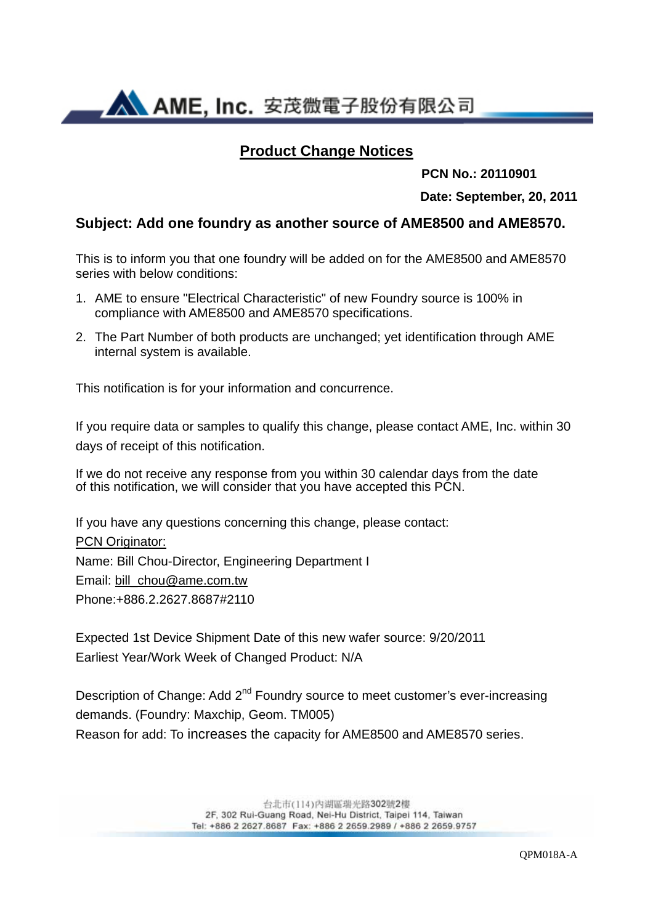**AN AME, Inc.** 安茂微電子股份有限公司

## **Product Change Notices**

 **PCN No.: 20110901** 

**Date: September, 20, 2011**

## **Subject: Add one foundry as another source of AME8500 and AME8570.**

This is to inform you that one foundry will be added on for the AME8500 and AME8570 series with below conditions:

- 1. AME to ensure "Electrical Characteristic" of new Foundry source is 100% in compliance with AME8500 and AME8570 specifications.
- 2. The Part Number of both products are unchanged; yet identification through AME internal system is available.

This notification is for your information and concurrence.

If you require data or samples to qualify this change, please contact AME, Inc. within 30 days of receipt of this notification.

If we do not receive any response from you within 30 calendar days from the date of this notification, we will consider that you have accepted this PCN.

If you have any questions concerning this change, please contact: PCN Originator: Name: Bill Chou-Director, Engineering Department I Email: bill\_chou@ame.com.tw Phone:+886.2.2627.8687#2110

Expected 1st Device Shipment Date of this new wafer source: 9/20/2011 Earliest Year/Work Week of Changed Product: N/A

Description of Change: Add  $2^{nd}$  Foundry source to meet customer's ever-increasing demands. (Foundry: Maxchip, Geom. TM005) Reason for add: To increases the capacity for AME8500 and AME8570 series.